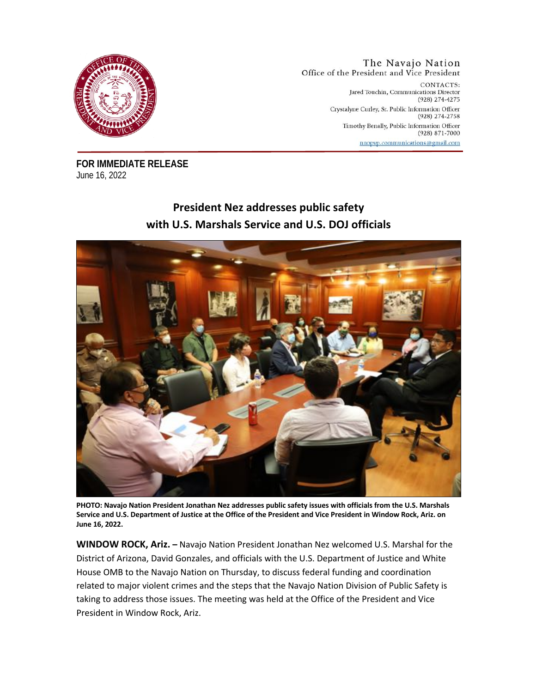

The Navajo Nation Office of the President and Vice President CONTACTS: Jared Touchin, Communications Director (928) 274-4275 Crystalyne Curley, Sr. Public Information Officer (928) 274-2758 Timothy Benally, Public Information Officer (928) 871-7000

nnopvp.communications@gmail.com

**FOR IMMEDIATE RELEASE**  June 16, 2022

## **President Nez addresses public safety with U.S. Marshals Service and U.S. DOJ officials**



**PHOTO: Navajo Nation President Jonathan Nez addresses public safety issues with officials from the U.S. Marshals Service and U.S. Department of Justice at the Office of the President and Vice President in Window Rock, Ariz. on June 16, 2022.**

**WINDOW ROCK, Ariz. –** Navajo Nation President Jonathan Nez welcomed U.S. Marshal for the District of Arizona, David Gonzales, and officials with the U.S. Department of Justice and White House OMB to the Navajo Nation on Thursday, to discuss federal funding and coordination related to major violent crimes and the steps that the Navajo Nation Division of Public Safety is taking to address those issues. The meeting was held at the Office of the President and Vice President in Window Rock, Ariz.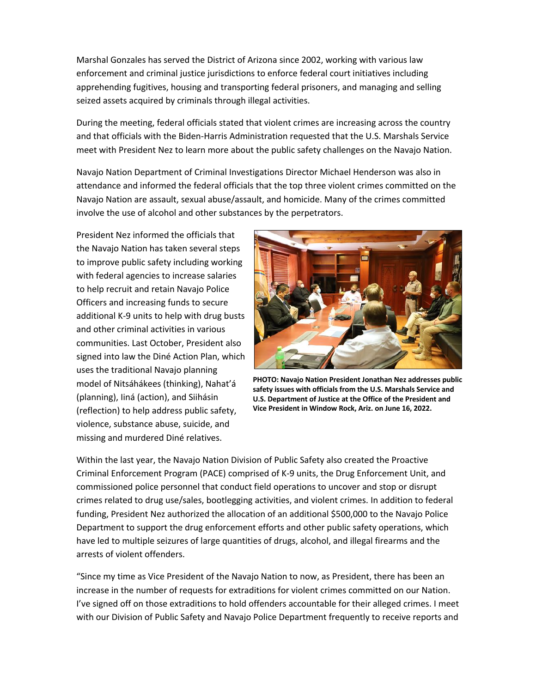Marshal Gonzales has served the District of Arizona since 2002, working with various law enforcement and criminal justice jurisdictions to enforce federal court initiatives including apprehending fugitives, housing and transporting federal prisoners, and managing and selling seized assets acquired by criminals through illegal activities.

During the meeting, federal officials stated that violent crimes are increasing across the country and that officials with the Biden-Harris Administration requested that the U.S. Marshals Service meet with President Nez to learn more about the public safety challenges on the Navajo Nation.

Navajo Nation Department of Criminal Investigations Director Michael Henderson was also in attendance and informed the federal officials that the top three violent crimes committed on the Navajo Nation are assault, sexual abuse/assault, and homicide. Many of the crimes committed involve the use of alcohol and other substances by the perpetrators.

President Nez informed the officials that the Navajo Nation has taken several steps to improve public safety including working with federal agencies to increase salaries to help recruit and retain Navajo Police Officers and increasing funds to secure additional K-9 units to help with drug busts and other criminal activities in various communities. Last October, President also signed into law the Diné Action Plan, which uses the traditional Navajo planning model of Nitsáhákees (thinking), Nahat'á (planning), Iiná (action), and Siihásin (reflection) to help address public safety, violence, substance abuse, suicide, and missing and murdered Diné relatives.



**PHOTO: Navajo Nation President Jonathan Nez addresses public safety issues with officials from the U.S. Marshals Service and U.S. Department of Justice at the Office of the President and Vice President in Window Rock, Ariz. on June 16, 2022.**

Within the last year, the Navajo Nation Division of Public Safety also created the Proactive Criminal Enforcement Program (PACE) comprised of K-9 units, the Drug Enforcement Unit, and commissioned police personnel that conduct field operations to uncover and stop or disrupt crimes related to drug use/sales, bootlegging activities, and violent crimes. In addition to federal funding, President Nez authorized the allocation of an additional \$500,000 to the Navajo Police Department to support the drug enforcement efforts and other public safety operations, which have led to multiple seizures of large quantities of drugs, alcohol, and illegal firearms and the arrests of violent offenders.

"Since my time as Vice President of the Navajo Nation to now, as President, there has been an increase in the number of requests for extraditions for violent crimes committed on our Nation. I've signed off on those extraditions to hold offenders accountable for their alleged crimes. I meet with our Division of Public Safety and Navajo Police Department frequently to receive reports and